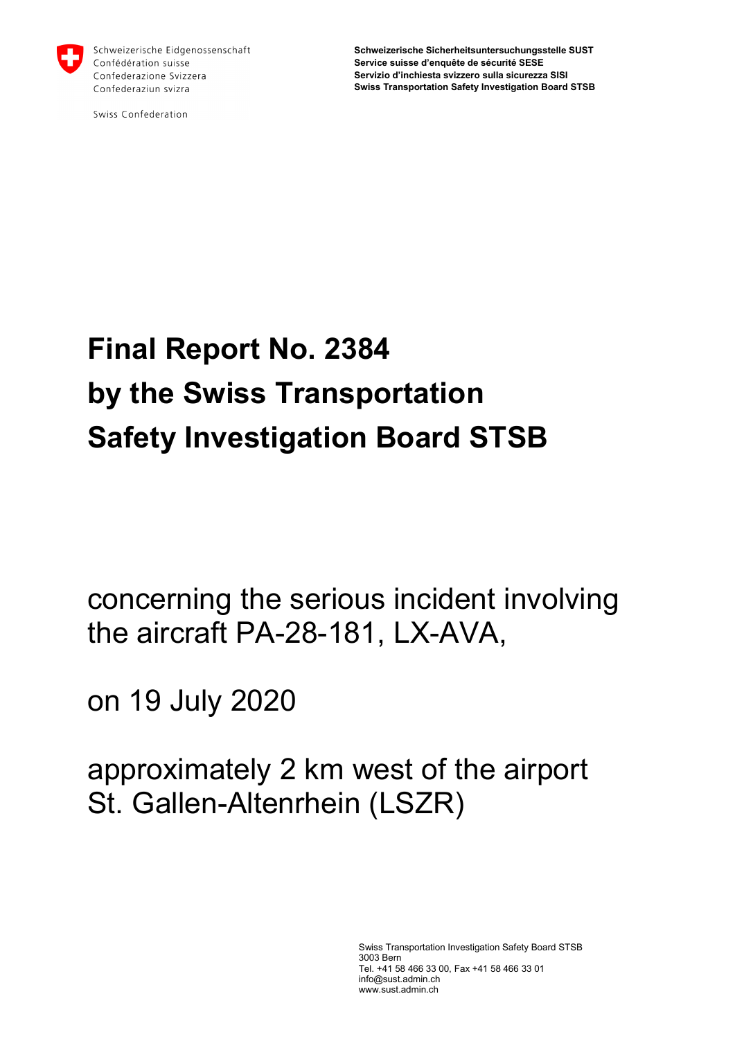

Schweizerische Eidgenossenschaft Confédération suisse Confederazione Svizzera Confederaziun svizra

Swiss Confederation

**Schweizerische Sicherheitsuntersuchungsstelle SUST Service suisse d'enquête de sécurité SESE Servizio d'inchiesta svizzero sulla sicurezza SISI Swiss Transportation Safety Investigation Board STSB**

# **Final Report No. 2384 by the Swiss Transportation Safety Investigation Board STSB**

concerning the serious incident involving the aircraft PA-28-181, LX-AVA,

on 19 July 2020

approximately 2 km west of the airport St. Gallen-Altenrhein (LSZR)

> Swiss Transportation Investigation Safety Board STSB 3003 Bern Tel. +41 58 466 33 00, Fax +41 58 466 33 01 [info@sust.admin.ch](mailto:info@sust.admin.ch) www.sust.admin.ch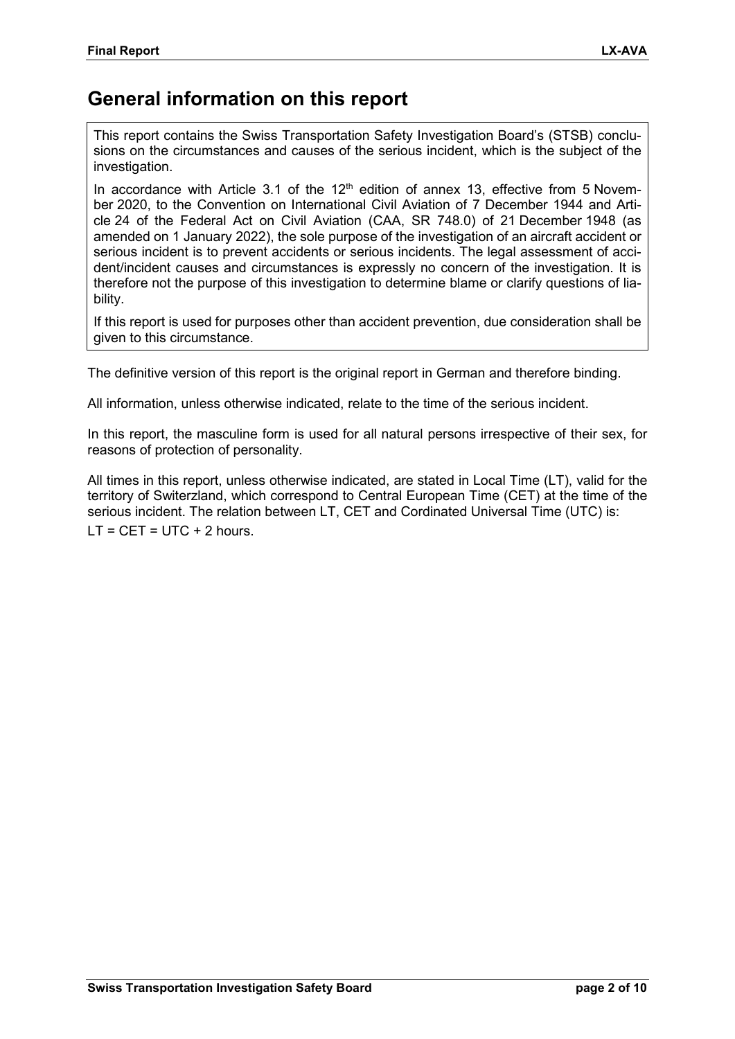### **General information on this report**

This report contains the Swiss Transportation Safety Investigation Board's (STSB) conclusions on the circumstances and causes of the serious incident, which is the subject of the investigation.

In accordance with Article 3.1 of the  $12<sup>th</sup>$  edition of annex 13, effective from 5 November 2020, to the Convention on International Civil Aviation of 7 December 1944 and Article 24 of the Federal Act on Civil Aviation (CAA, SR 748.0) of 21 December 1948 (as amended on 1 January 2022), the sole purpose of the investigation of an aircraft accident or serious incident is to prevent accidents or serious incidents. The legal assessment of accident/incident causes and circumstances is expressly no concern of the investigation. It is therefore not the purpose of this investigation to determine blame or clarify questions of liability.

If this report is used for purposes other than accident prevention, due consideration shall be given to this circumstance.

The definitive version of this report is the original report in German and therefore binding.

All information, unless otherwise indicated, relate to the time of the serious incident.

In this report, the masculine form is used for all natural persons irrespective of their sex, for reasons of protection of personality.

All times in this report, unless otherwise indicated, are stated in Local Time (LT), valid for the territory of Switerzland, which correspond to Central European Time (CET) at the time of the serious incident. The relation between LT, CET and Cordinated Universal Time (UTC) is:  $LT = CET = UTC + 2 hours.$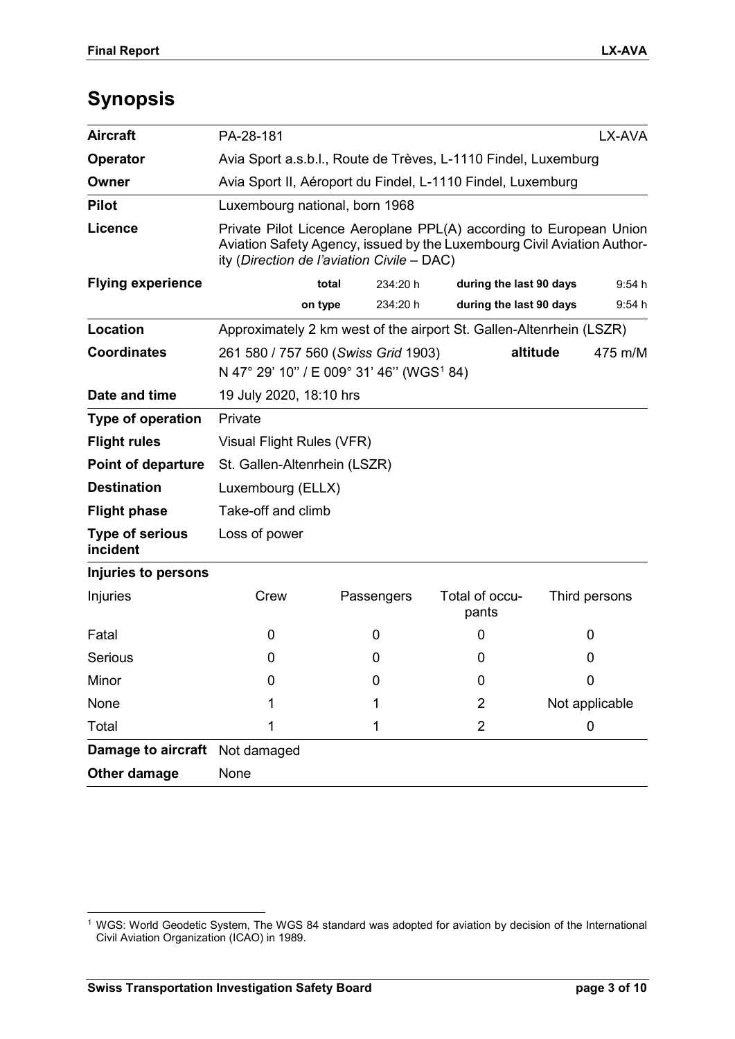## **Synopsis**

| <b>Damage to aircraft</b>                       | Not damaged                                                                                                                                                                                 |            |          |                         |  |                |  |
|-------------------------------------------------|---------------------------------------------------------------------------------------------------------------------------------------------------------------------------------------------|------------|----------|-------------------------|--|----------------|--|
| Total                                           | 1                                                                                                                                                                                           | 1          |          | $\overline{2}$          |  | 0              |  |
| None                                            |                                                                                                                                                                                             |            |          | 2                       |  | Not applicable |  |
| Minor                                           | 0                                                                                                                                                                                           | 0          |          | 0                       |  | $\mathbf 0$    |  |
| Serious                                         | 0                                                                                                                                                                                           | 0          |          | 0                       |  | 0              |  |
| Fatal                                           | 0                                                                                                                                                                                           | 0          |          | 0                       |  | 0              |  |
| Injuries to persons<br>Injuries                 | Crew                                                                                                                                                                                        | Passengers |          | Total of occu-<br>pants |  | Third persons  |  |
| incident                                        |                                                                                                                                                                                             |            |          |                         |  |                |  |
| <b>Type of serious</b>                          | Loss of power                                                                                                                                                                               |            |          |                         |  |                |  |
| <b>Flight phase</b>                             | Luxembourg (ELLX)<br>Take-off and climb                                                                                                                                                     |            |          |                         |  |                |  |
| <b>Point of departure</b><br><b>Destination</b> | St. Gallen-Altenrhein (LSZR)                                                                                                                                                                |            |          |                         |  |                |  |
| <b>Flight rules</b>                             | Visual Flight Rules (VFR)                                                                                                                                                                   |            |          |                         |  |                |  |
| Type of operation                               | Private                                                                                                                                                                                     |            |          |                         |  |                |  |
| Date and time                                   | 19 July 2020, 18:10 hrs                                                                                                                                                                     |            |          |                         |  |                |  |
| <b>Coordinates</b>                              | altitude<br>261 580 / 757 560 (Swiss Grid 1903)<br>475 m/M<br>N 47° 29' 10" / E 009° 31' 46" (WGS <sup>1</sup> 84)                                                                          |            |          |                         |  |                |  |
| Location                                        | Approximately 2 km west of the airport St. Gallen-Altenrhein (LSZR)                                                                                                                         |            |          |                         |  |                |  |
|                                                 |                                                                                                                                                                                             | on type    | 234:20 h | during the last 90 days |  | 9:54 h         |  |
| <b>Flying experience</b>                        |                                                                                                                                                                                             | total      | 234:20 h | during the last 90 days |  | 9:54 h         |  |
| Licence                                         | Private Pilot Licence Aeroplane PPL(A) according to European Union<br>Aviation Safety Agency, issued by the Luxembourg Civil Aviation Author-<br>ity (Direction de l'aviation Civile - DAC) |            |          |                         |  |                |  |
| <b>Pilot</b>                                    | Luxembourg national, born 1968                                                                                                                                                              |            |          |                         |  |                |  |
| Owner                                           | Avia Sport II, Aéroport du Findel, L-1110 Findel, Luxemburg                                                                                                                                 |            |          |                         |  |                |  |
| Operator                                        | Avia Sport a.s.b.l., Route de Trèves, L-1110 Findel, Luxemburg                                                                                                                              |            |          |                         |  |                |  |
| <b>Aircraft</b>                                 | PA-28-181                                                                                                                                                                                   |            | LX-AVA   |                         |  |                |  |

<span id="page-2-0"></span> <sup>1</sup> WGS: World Geodetic System, The WGS 84 standard was adopted for aviation by decision of the International Civil Aviation Organization (ICAO) in 1989.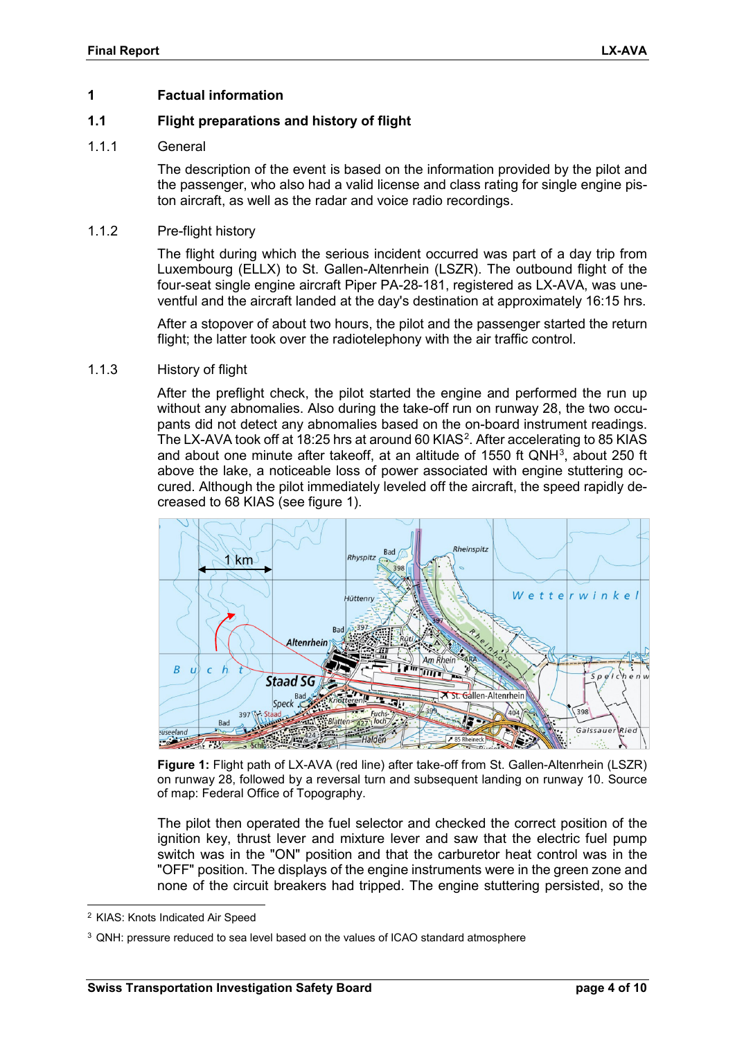#### **1 Factual information**

#### **1.1 Flight preparations and history of flight**

#### 111 General

The description of the event is based on the information provided by the pilot and the passenger, who also had a valid license and class rating for single engine piston aircraft, as well as the radar and voice radio recordings.

#### 1.1.2 Pre-flight history

The flight during which the serious incident occurred was part of a day trip from Luxembourg (ELLX) to St. Gallen-Altenrhein (LSZR). The outbound flight of the four-seat single engine aircraft Piper PA-28-181, registered as LX-AVA, was uneventful and the aircraft landed at the day's destination at approximately 16:15 hrs.

After a stopover of about two hours, the pilot and the passenger started the return flight; the latter took over the radiotelephony with the air traffic control.

#### 1.1.3 History of flight

After the preflight check, the pilot started the engine and performed the run up without any abnomalies. Also during the take-off run on runway 28, the two occupants did not detect any abnomalies based on the on-board instrument readings. The LX-AVA took off at 18:[2](#page-3-1)5 hrs at around 60 KIAS<sup>2</sup>. After accelerating to 85 KIAS and about one minute after takeoff, at an altitude of 1550 ft QNH $3$ , about 250 ft above the lake, a noticeable loss of power associated with engine stuttering occured. Although the pilot immediately leveled off the aircraft, the speed rapidly decreased to 68 KIAS (see figure [1\)](#page-3-0).



<span id="page-3-0"></span>**Figure 1:** Flight path of LX-AVA (red line) after take-off from St. Gallen-Altenrhein (LSZR) on runway 28, followed by a reversal turn and subsequent landing on runway 10. Source of map: Federal Office of Topography.

The pilot then operated the fuel selector and checked the correct position of the ignition key, thrust lever and mixture lever and saw that the electric fuel pump switch was in the "ON" position and that the carburetor heat control was in the "OFF" position. The displays of the engine instruments were in the green zone and none of the circuit breakers had tripped. The engine stuttering persisted, so the

<span id="page-3-1"></span><sup>-</sup>2 KIAS: Knots Indicated Air Speed

<span id="page-3-2"></span><sup>&</sup>lt;sup>3</sup> QNH: pressure reduced to sea level based on the values of ICAO standard atmosphere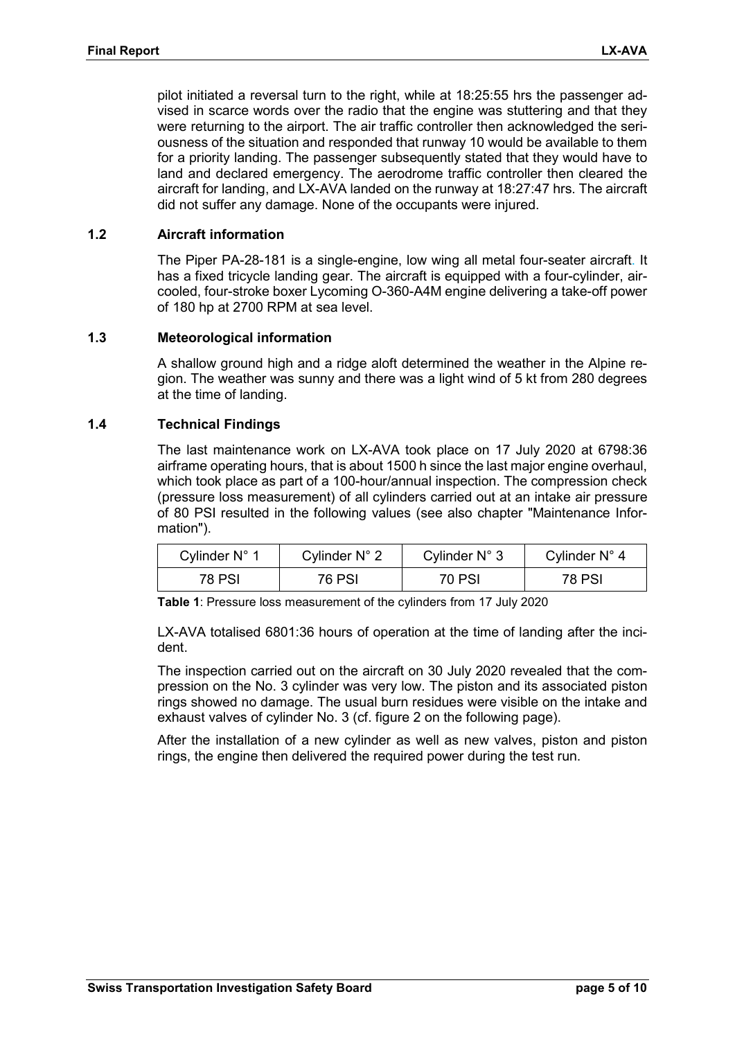pilot initiated a reversal turn to the right, while at 18:25:55 hrs the passenger advised in scarce words over the radio that the engine was stuttering and that they were returning to the airport. The air traffic controller then acknowledged the seriousness of the situation and responded that runway 10 would be available to them for a priority landing. The passenger subsequently stated that they would have to land and declared emergency. The aerodrome traffic controller then cleared the aircraft for landing, and LX-AVA landed on the runway at 18:27:47 hrs. The aircraft did not suffer any damage. None of the occupants were injured.

#### **1.2 Aircraft information**

The Piper PA-28-181 is a single-engine, low wing all metal four-seater aircraft. It has a fixed tricycle landing gear. The aircraft is equipped with a four-cylinder, aircooled, four-stroke boxer Lycoming O-360-A4M engine delivering a take-off power of 180 hp at 2700 RPM at sea level.

#### **1.3 Meteorological information**

A shallow ground high and a ridge aloft determined the weather in the Alpine region. The weather was sunny and there was a light wind of 5 kt from 280 degrees at the time of landing.

#### **1.4 Technical Findings**

The last maintenance work on LX-AVA took place on 17 July 2020 at 6798:36 airframe operating hours, that is about 1500 h since the last major engine overhaul, which took place as part of a 100-hour/annual inspection. The compression check (pressure loss measurement) of all cylinders carried out at an intake air pressure of 80 PSI resulted in the following values (see also chapter "Maintenance Information").

| Cvlinder N° 1 | Cylinder N° 2 | Cylinder N° 3 | Cylinder N° 4 |
|---------------|---------------|---------------|---------------|
| 78 PSI        | 76 PSI        | 70 PSI        | 78 PSI        |

**Table 1**: Pressure loss measurement of the cylinders from 17 July 2020

LX-AVA totalised 6801:36 hours of operation at the time of landing after the incident.

The inspection carried out on the aircraft on 30 July 2020 revealed that the compression on the No. 3 cylinder was very low. The piston and its associated piston rings showed no damage. The usual burn residues were visible on the intake and exhaust valves of cylinder No. 3 (cf. figure [2](#page-5-0) on the following page).

After the installation of a new cylinder as well as new valves, piston and piston rings, the engine then delivered the required power during the test run.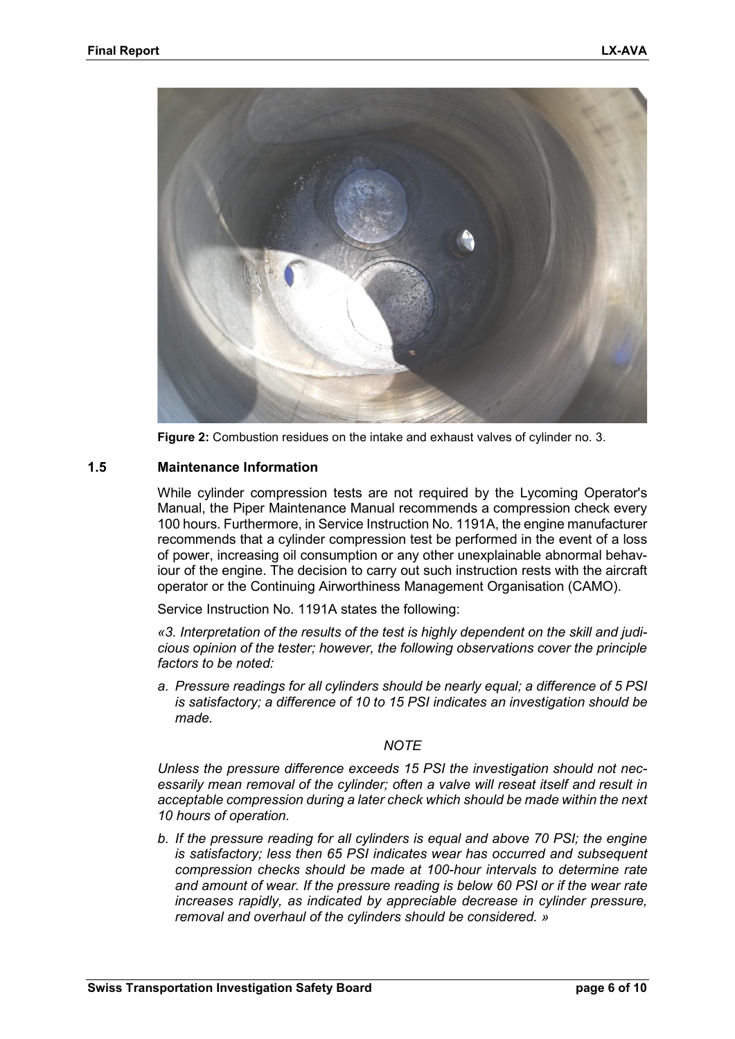

**Figure 2:** Combustion residues on the intake and exhaust valves of cylinder no. 3.

#### <span id="page-5-0"></span>**1.5 Maintenance Information**

While cylinder compression tests are not required by the Lycoming Operator's Manual, the Piper Maintenance Manual recommends a compression check every 100 hours. Furthermore, in Service Instruction No. 1191A, the engine manufacturer recommends that a cylinder compression test be performed in the event of a loss of power, increasing oil consumption or any other unexplainable abnormal behaviour of the engine. The decision to carry out such instruction rests with the aircraft operator or the Continuing Airworthiness Management Organisation (CAMO).

Service Instruction No. 1191A states the following:

*«3. Interpretation of the results of the test is highly dependent on the skill and judicious opinion of the tester; however, the following observations cover the principle factors to be noted:* 

*a. Pressure readings for all cylinders should be nearly equal; a difference of 5 PSI is satisfactory; a difference of 10 to 15 PSI indicates an investigation should be made.* 

#### *NOTE*

*Unless the pressure difference exceeds 15 PSI the investigation should not necessarily mean removal of the cylinder; often a valve will reseat itself and result in acceptable compression during a later check which should be made within the next 10 hours of operation.* 

*b. If the pressure reading for all cylinders is equal and above 70 PSI; the engine is satisfactory; less then 65 PSI indicates wear has occurred and subsequent compression checks should be made at 100-hour intervals to determine rate and amount of wear. If the pressure reading is below 60 PSI or if the wear rate increases rapidly, as indicated by appreciable decrease in cylinder pressure, removal and overhaul of the cylinders should be considered. »*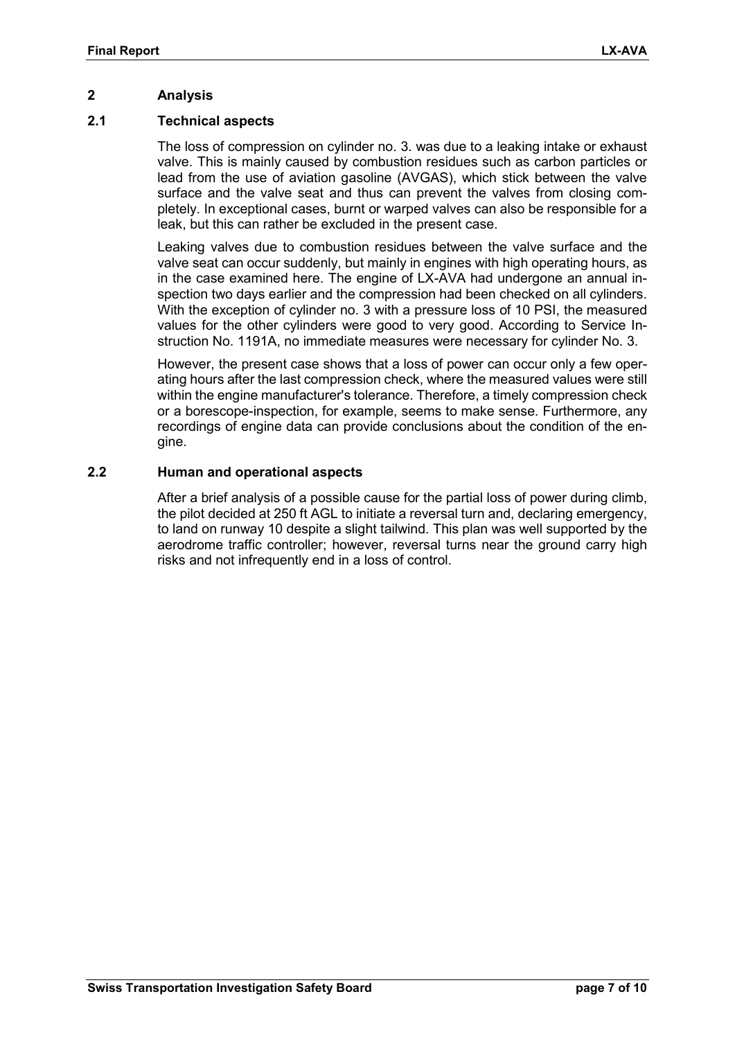#### **2 Analysis**

#### **2.1 Technical aspects**

The loss of compression on cylinder no. 3. was due to a leaking intake or exhaust valve. This is mainly caused by combustion residues such as carbon particles or lead from the use of aviation gasoline (AVGAS), which stick between the valve surface and the valve seat and thus can prevent the valves from closing completely. In exceptional cases, burnt or warped valves can also be responsible for a leak, but this can rather be excluded in the present case.

Leaking valves due to combustion residues between the valve surface and the valve seat can occur suddenly, but mainly in engines with high operating hours, as in the case examined here. The engine of LX-AVA had undergone an annual inspection two days earlier and the compression had been checked on all cylinders. With the exception of cylinder no. 3 with a pressure loss of 10 PSI, the measured values for the other cylinders were good to very good. According to Service Instruction No. 1191A, no immediate measures were necessary for cylinder No. 3.

However, the present case shows that a loss of power can occur only a few operating hours after the last compression check, where the measured values were still within the engine manufacturer's tolerance. Therefore, a timely compression check or a borescope-inspection, for example, seems to make sense. Furthermore, any recordings of engine data can provide conclusions about the condition of the engine.

#### **2.2 Human and operational aspects**

After a brief analysis of a possible cause for the partial loss of power during climb, the pilot decided at 250 ft AGL to initiate a reversal turn and, declaring emergency, to land on runway 10 despite a slight tailwind. This plan was well supported by the aerodrome traffic controller; however, reversal turns near the ground carry high risks and not infrequently end in a loss of control.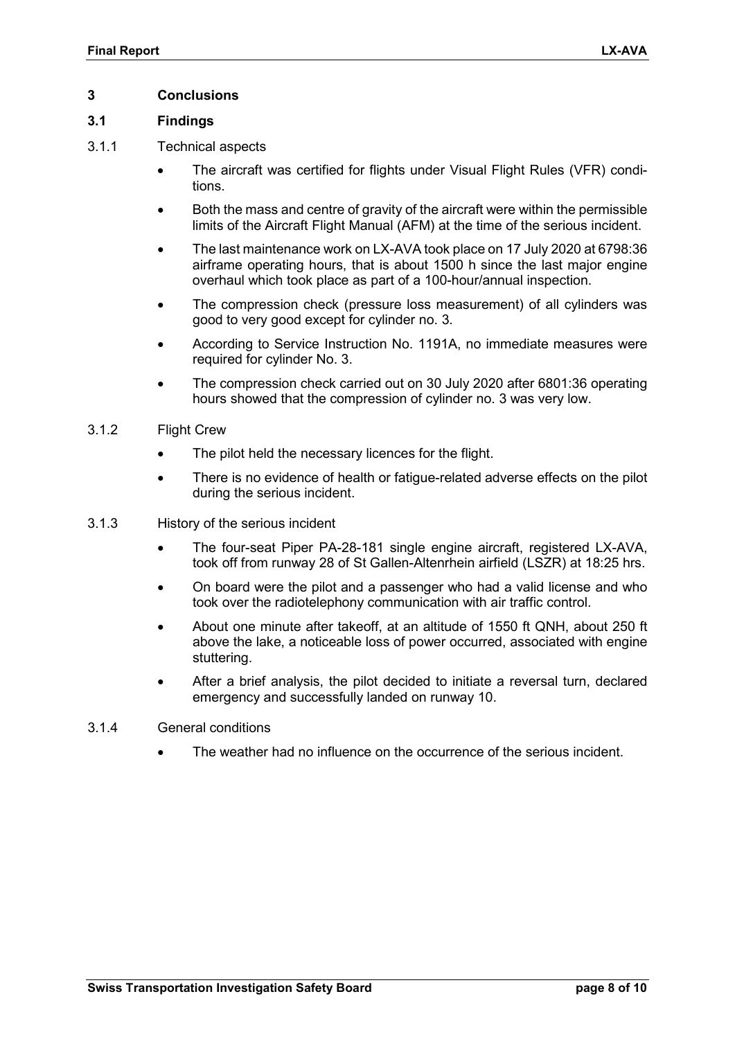#### **3 Conclusions**

#### **3.1 Findings**

- 3.1.1 Technical aspects
	- The aircraft was certified for flights under Visual Flight Rules (VFR) conditions.
	- Both the mass and centre of gravity of the aircraft were within the permissible limits of the Aircraft Flight Manual (AFM) at the time of the serious incident.
	- The last maintenance work on LX-AVA took place on 17 July 2020 at 6798:36 airframe operating hours, that is about 1500 h since the last major engine overhaul which took place as part of a 100-hour/annual inspection.
	- The compression check (pressure loss measurement) of all cylinders was good to very good except for cylinder no. 3.
	- According to Service Instruction No. 1191A, no immediate measures were required for cylinder No. 3.
	- The compression check carried out on 30 July 2020 after 6801:36 operating hours showed that the compression of cylinder no. 3 was very low.

#### 3.1.2 Flight Crew

- The pilot held the necessary licences for the flight.
- There is no evidence of health or fatigue-related adverse effects on the pilot during the serious incident.
- 3.1.3 History of the serious incident
	- The four-seat Piper PA-28-181 single engine aircraft, registered LX-AVA, took off from runway 28 of St Gallen-Altenrhein airfield (LSZR) at 18:25 hrs.
	- On board were the pilot and a passenger who had a valid license and who took over the radiotelephony communication with air traffic control.
	- About one minute after takeoff, at an altitude of 1550 ft QNH, about 250 ft above the lake, a noticeable loss of power occurred, associated with engine stuttering.
	- After a brief analysis, the pilot decided to initiate a reversal turn, declared emergency and successfully landed on runway 10.
- 3.1.4 General conditions
	- The weather had no influence on the occurrence of the serious incident.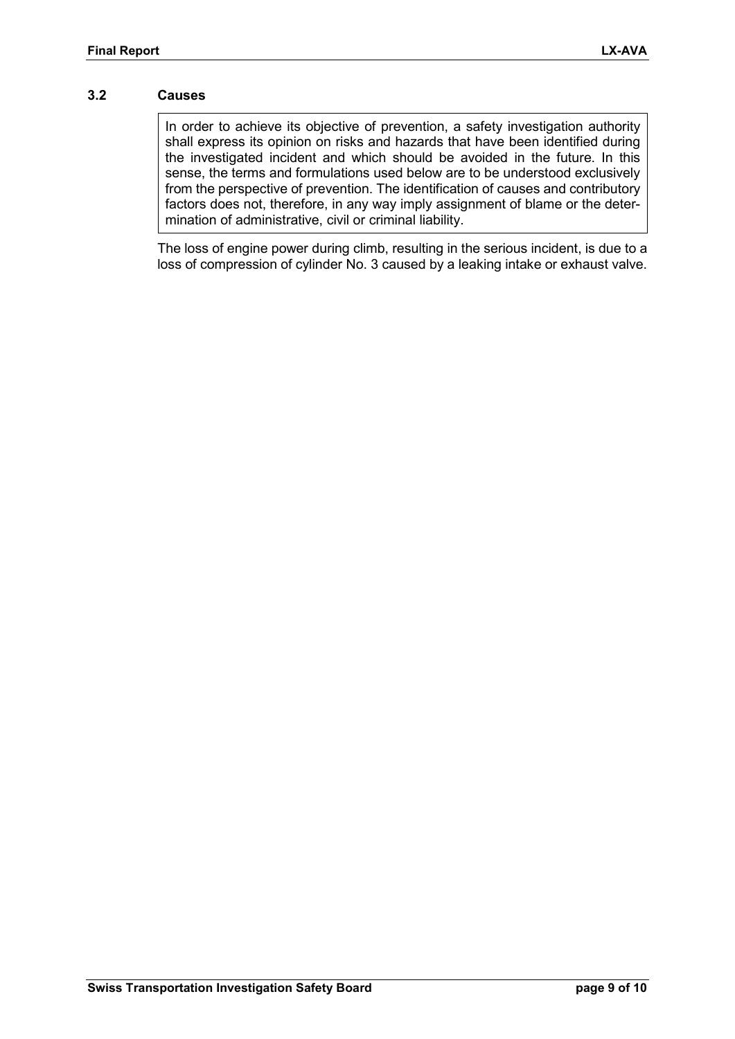#### **3.2 Causes**

In order to achieve its objective of prevention, a safety investigation authority shall express its opinion on risks and hazards that have been identified during the investigated incident and which should be avoided in the future. In this sense, the terms and formulations used below are to be understood exclusively from the perspective of prevention. The identification of causes and contributory factors does not, therefore, in any way imply assignment of blame or the determination of administrative, civil or criminal liability.

The loss of engine power during climb, resulting in the serious incident, is due to a loss of compression of cylinder No. 3 caused by a leaking intake or exhaust valve.